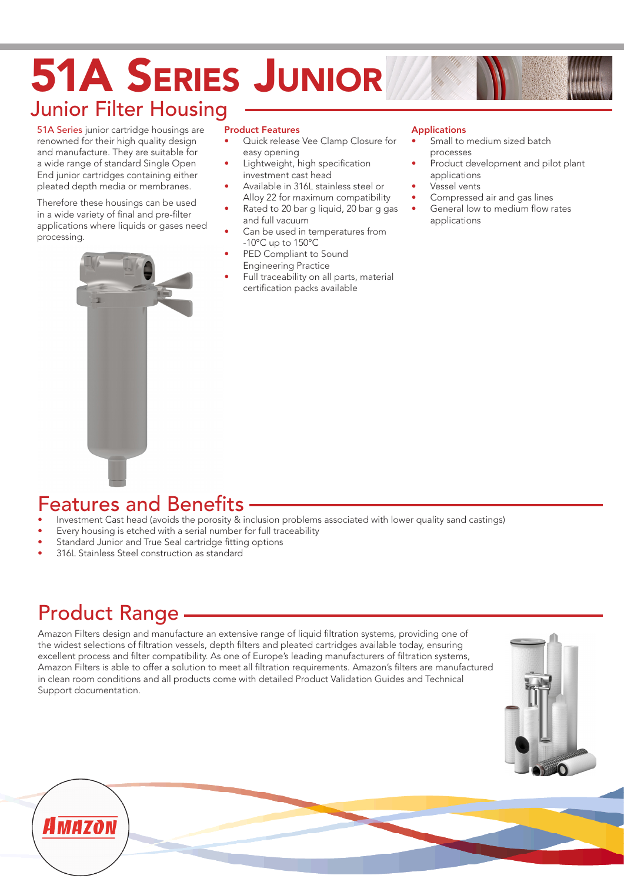# 51A Series Junior Junior Filter Housing

51A Series junior cartridge housings are renowned for their high quality design and manufacture. They are suitable for a wide range of standard Single Open End junior cartridges containing either pleated depth media or membranes.

Therefore these housings can be used in a wide variety of final and pre-filter applications where liquids or gases need processing.



### Product Features

- Quick release Vee Clamp Closure for easy opening
- Lightweight, high specification investment cast head
- Available in 316L stainless steel or Alloy 22 for maximum compatibility
- Rated to 20 bar g liquid, 20 bar g gas and full vacuum
- Can be used in temperatures from -10°C up to 150°C
- PED Compliant to Sound Engineering Practice
- Full traceability on all parts, material certification packs available

#### Applications

- Small to medium sized batch processes
- Product development and pilot plant applications
- Vessel vents
- Compressed air and gas lines
- General low to medium flow rates applications

## Features and Benefits

- Investment Cast head (avoids the porosity & inclusion problems associated with lower quality sand castings)
- Every housing is etched with a serial number for full traceability
- Standard Junior and True Seal cartridge fitting options
- 316L Stainless Steel construction as standard

## Product Range

Amazon Filters design and manufacture an extensive range of liquid filtration systems, providing one of the widest selections of filtration vessels, depth filters and pleated cartridges available today, ensuring excellent process and filter compatibility. As one of Europe's leading manufacturers of filtration systems, Amazon Filters is able to offer a solution to meet all filtration requirements. Amazon's filters are manufactured in clean room conditions and all products come with detailed Product Validation Guides and Technical Support documentation.



# A MAZON